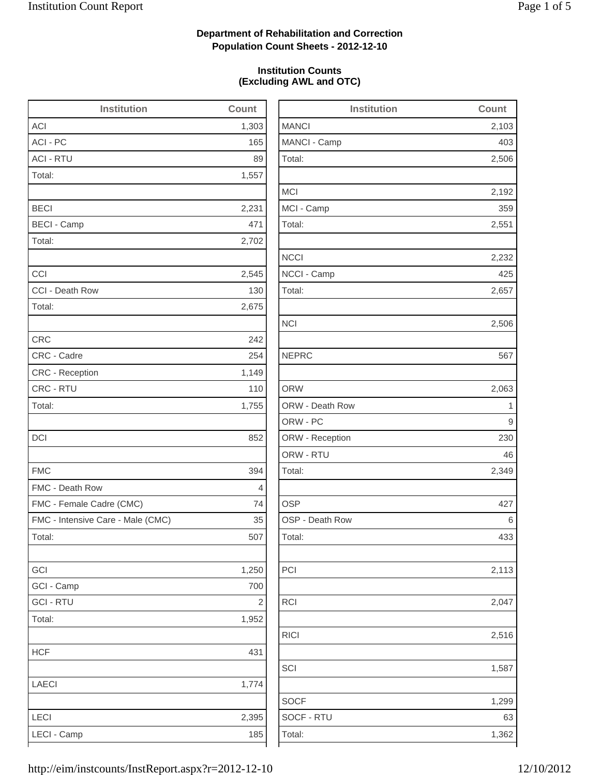2,506

2,192

2,232

2,506

2,063

2,349

2,113

2,516

1,587

1,299

1,362

## **Department of Rehabilitation and Correction Population Count Sheets - 2012-12-10**

## **Institution Counts (Excluding AWL and OTC)**

| <b>Institution</b>                | Count          | <b>Institution</b> | Count        |
|-----------------------------------|----------------|--------------------|--------------|
| ACI                               | 1,303          | <b>MANCI</b>       | 2,103        |
| ACI - PC                          | 165            | MANCI - Camp       | 403          |
| <b>ACI - RTU</b>                  | 89             | Total:             | 2,506        |
| Total:                            | 1,557          |                    |              |
|                                   |                | <b>MCI</b>         | 2,192        |
| <b>BECI</b>                       | 2,231          | MCI - Camp         | 359          |
| <b>BECI - Camp</b>                | 471            | Total:             | 2,551        |
| Total:                            | 2,702          |                    |              |
|                                   |                | <b>NCCI</b>        | 2,232        |
| CCI                               | 2,545          | NCCI - Camp        | 425          |
| CCI - Death Row                   | 130            | Total:             | 2,657        |
| Total:                            | 2,675          |                    |              |
|                                   |                | <b>NCI</b>         | 2,506        |
| <b>CRC</b>                        | 242            |                    |              |
| CRC - Cadre                       | 254            | <b>NEPRC</b>       | 567          |
| CRC - Reception                   | 1,149          |                    |              |
| CRC - RTU                         | 110            | <b>ORW</b>         | 2,063        |
| Total:                            | 1,755          | ORW - Death Row    | $\mathbf{1}$ |
|                                   |                | ORW - PC           | 9            |
| DCI                               | 852            | ORW - Reception    | 230          |
|                                   |                | ORW - RTU          | 46           |
| <b>FMC</b>                        | 394            | Total:             | 2,349        |
| FMC - Death Row                   | $\overline{4}$ |                    |              |
| FMC - Female Cadre (CMC)          | 74             | <b>OSP</b>         | 427          |
| FMC - Intensive Care - Male (CMC) | 35             | OSP - Death Row    | 6            |
| Total:                            | 507            | Total:             | 433          |
| GCI                               | 1,250          | PCI                | 2,113        |
| GCI - Camp                        | 700            |                    |              |
| <b>GCI - RTU</b>                  | $\sqrt{2}$     | <b>RCI</b>         | 2,047        |
| Total:                            | 1,952          |                    |              |
|                                   |                | <b>RICI</b>        | 2,516        |
| <b>HCF</b>                        | 431            |                    |              |
|                                   |                | SCI                | 1,587        |
| LAECI                             | 1,774          |                    |              |
|                                   |                | <b>SOCF</b>        | 1,299        |
| LECI                              | 2,395          | SOCF - RTU         | 63           |
| LECI - Camp                       | 185            | Total:             | 1,362        |
|                                   |                |                    |              |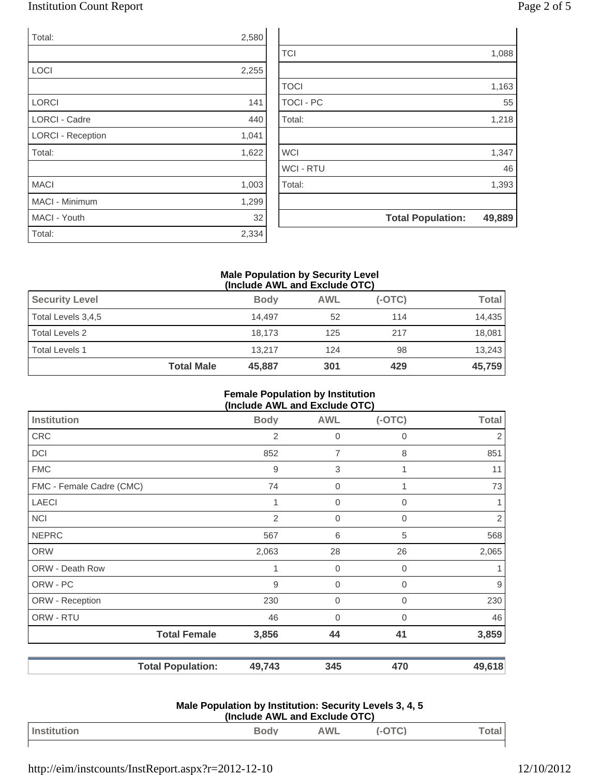## Institution Count Report Page 2 of 5

| Total:                   | 2,580 |
|--------------------------|-------|
|                          |       |
| <b>LOCI</b>              | 2,255 |
|                          |       |
| <b>LORCI</b>             | 141   |
| <b>LORCI - Cadre</b>     | 440   |
| <b>LORCI - Reception</b> | 1,041 |
| Total:                   | 1,622 |
|                          |       |
| <b>MACI</b>              | 1,003 |
| <b>MACI - Minimum</b>    | 1,299 |
| MACI - Youth             | 32    |
| Total:                   | 2,334 |

| 55<br>1,218<br>1,347<br>46<br>1,393 |
|-------------------------------------|
|                                     |
|                                     |
|                                     |
|                                     |
|                                     |
|                                     |
| 1,163                               |
|                                     |
| 1,088                               |
|                                     |

#### **Male Population by Security Level (Include AWL and Exclude OTC)**

| <b>Security Level</b> |                   | <b>Body</b> | <b>AWL</b> | $(-OTC)$ | <b>Total</b> |
|-----------------------|-------------------|-------------|------------|----------|--------------|
| Total Levels 3,4,5    |                   | 14.497      | 52         | 114      | 14,435       |
| Total Levels 2        |                   | 18.173      | 125        | 217      | 18,081       |
| Total Levels 1        |                   | 13.217      | 124        | 98       | 13,243       |
|                       | <b>Total Male</b> | 45,887      | 301        | 429      | 45,759       |

#### **Female Population by Institution (Include AWL and Exclude OTC)**

| Institution              | <b>Body</b>    | <b>AWL</b>       | $(-OTC)$       | <b>Total</b> |
|--------------------------|----------------|------------------|----------------|--------------|
| <b>CRC</b>               | $\overline{2}$ | $\mathbf 0$      | 0              | 2            |
| DCI                      | 852            | $\overline{7}$   | 8              | 851          |
| <b>FMC</b>               | 9              | $\sqrt{3}$       | 1              | 11           |
| FMC - Female Cadre (CMC) | 74             | $\mathbf 0$      |                | 73           |
| <b>LAECI</b>             | 1              | $\mathbf 0$      | $\overline{0}$ |              |
| <b>NCI</b>               | $\overline{2}$ | $\overline{0}$   | 0              | 2            |
| <b>NEPRC</b>             | 567            | 6                | 5              | 568          |
| <b>ORW</b>               | 2,063          | 28               | 26             | 2,065        |
| ORW - Death Row          | 1              | $\overline{0}$   | $\overline{0}$ |              |
| ORW - PC                 | 9              | $\boldsymbol{0}$ | 0              | 9            |
| ORW - Reception          | 230            | $\boldsymbol{0}$ | $\overline{0}$ | 230          |
| ORW - RTU                | 46             | $\mathbf 0$      | $\Omega$       | 46           |
| <b>Total Female</b>      | 3,856          | 44               | 41             | 3,859        |
| <b>Total Population:</b> | 49,743         | 345              | 470            | 49,618       |

| Male Population by Institution: Security Levels 3, 4, 5 |
|---------------------------------------------------------|
| (Include AWL and Exclude OTC)                           |

| l Ins<br> | <b>Dody</b><br>ี⊌∨๚<br>$\overline{\phantom{a}}$ | <b><i>NIT</i></b><br>$-1$ $-1$ $-1$ | ~<br>$\sim$ | Jtar |
|-----------|-------------------------------------------------|-------------------------------------|-------------|------|
|           |                                                 |                                     |             |      |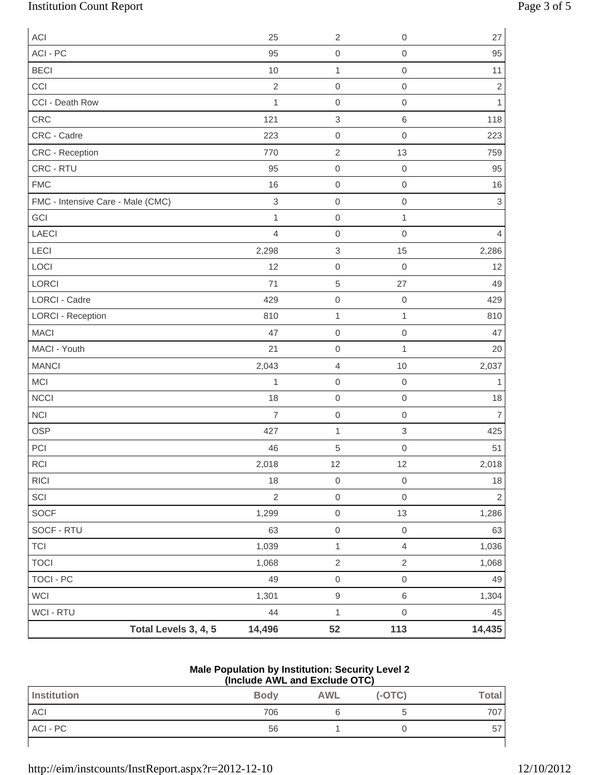# Institution Count Report Page 3 of 5

| ACI                               |                      | 25             | $\sqrt{2}$                | 0                         | 27             |
|-----------------------------------|----------------------|----------------|---------------------------|---------------------------|----------------|
| ACI - PC                          |                      | 95             | $\mathbf 0$               | $\mathbf 0$               | 95             |
| <b>BECI</b>                       |                      | 10             | $\mathbf 1$               | $\mathbf 0$               | 11             |
| CCI                               |                      | $\overline{2}$ | $\boldsymbol{0}$          | $\mathbf 0$               | $\overline{2}$ |
| CCI - Death Row                   |                      | 1              | $\mathbf 0$               | $\mathbf 0$               | $\mathbf{1}$   |
| CRC                               |                      | 121            | $\ensuremath{\mathsf{3}}$ | $\,$ 6                    | 118            |
| CRC - Cadre                       |                      | 223            | $\boldsymbol{0}$          | $\mathbf 0$               | 223            |
| CRC - Reception                   |                      | 770            | $\sqrt{2}$                | 13                        | 759            |
| CRC - RTU                         |                      | 95             | $\boldsymbol{0}$          | $\boldsymbol{0}$          | 95             |
| <b>FMC</b>                        |                      | 16             | $\boldsymbol{0}$          | $\mathbf 0$               | 16             |
| FMC - Intensive Care - Male (CMC) |                      | $\sqrt{3}$     | $\boldsymbol{0}$          | $\mathbf 0$               | $\sqrt{3}$     |
| GCI                               |                      | $\mathbf{1}$   | $\mathbf 0$               | $\mathbf{1}$              |                |
| LAECI                             |                      | $\overline{4}$ | $\mbox{O}$                | $\mathbf 0$               | 4              |
| LECI                              |                      | 2,298          | $\ensuremath{\mathsf{3}}$ | 15                        | 2,286          |
| LOCI                              |                      | 12             | $\boldsymbol{0}$          | $\mathbf 0$               | 12             |
| LORCI                             |                      | 71             | $\sqrt{5}$                | 27                        | 49             |
| <b>LORCI - Cadre</b>              |                      | 429            | $\mbox{O}$                | $\boldsymbol{0}$          | 429            |
| <b>LORCI - Reception</b>          |                      | 810            | $\mathbf 1$               | $\mathbf 1$               | 810            |
| <b>MACI</b>                       |                      | 47             | $\boldsymbol{0}$          | $\mathbf 0$               | 47             |
| MACI - Youth                      |                      | 21             | $\boldsymbol{0}$          | $\mathbf{1}$              | 20             |
| <b>MANCI</b>                      |                      | 2,043          | $\overline{4}$            | 10                        | 2,037          |
| MCI                               |                      | 1              | $\boldsymbol{0}$          | $\mathbf 0$               | 1              |
| NCCI                              |                      | 18             | $\mbox{O}$                | $\mbox{O}$                | $18$           |
| <b>NCI</b>                        |                      | $\overline{7}$ | $\boldsymbol{0}$          | $\mathbf 0$               | $\overline{7}$ |
| <b>OSP</b>                        |                      | 427            | $\mathbf{1}$              | $\ensuremath{\mathsf{3}}$ | 425            |
| PCI                               |                      | 46             | 5                         | $\mathbf 0$               | 51             |
| $\sf RCI$                         |                      | 2,018          | 12                        | 12                        | 2,018          |
| RICI                              |                      | 18             | $\mbox{O}$                | $\mathbf 0$               | 18             |
| $\ensuremath{\mathsf{SCI}}$       |                      | $\overline{2}$ | $\mbox{O}$                | $\mathbf 0$               | $\overline{2}$ |
| SOCF                              |                      | 1,299          | $\mathsf{O}\xspace$       | 13                        | 1,286          |
| SOCF - RTU                        |                      | 63             | $\mathsf{O}\xspace$       | $\mathbf 0$               | 63             |
| <b>TCI</b>                        |                      | 1,039          | $\mathbf{1}$              | $\overline{4}$            | 1,036          |
| <b>TOCI</b>                       |                      | 1,068          | $\mathbf 2$               | $\sqrt{2}$                | 1,068          |
| <b>TOCI - PC</b>                  |                      | 49             | $\mbox{O}$                | $\mathbf 0$               | 49             |
| WCI                               |                      | 1,301          | $\hbox{9}$                | $\,6$                     | 1,304          |
| WCI - RTU                         |                      | 44             | $\mathbf 1$               | $\mbox{O}$                | 45             |
|                                   | Total Levels 3, 4, 5 | 14,496         | 52                        | 113                       | 14,435         |

#### **Male Population by Institution: Security Level 2 (Include AWL and Exclude OTC)**

| $\frac{1}{2}$ |             |     |          |              |
|---------------|-------------|-----|----------|--------------|
| Institution   | <b>Body</b> | AWL | $(-OTC)$ | <b>Total</b> |
| ACI           | 706         |     |          | 707          |
| ACI - PC      | 56          |     |          | 57           |
|               |             |     |          |              |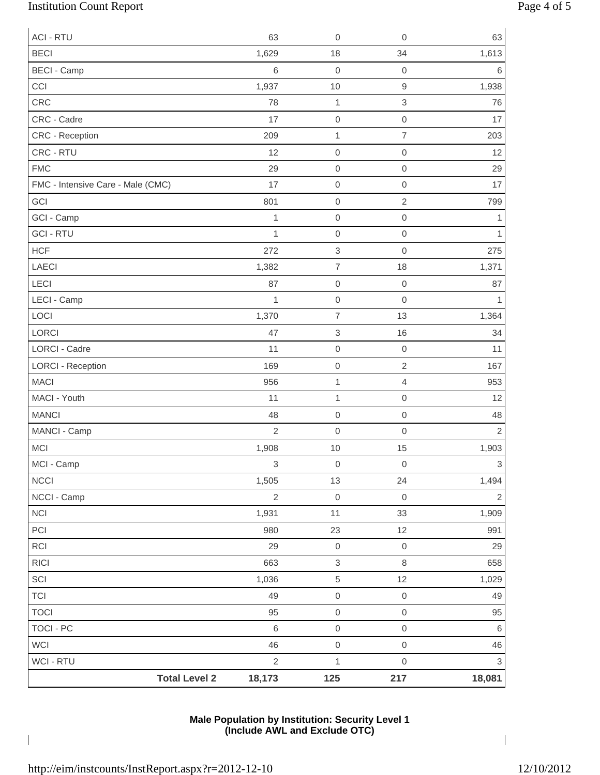# Institution Count Report Page 4 of 5

| <b>ACI - RTU</b>                  | 63             | $\mathsf{O}\xspace$       | $\mathbf 0$               | 63                        |
|-----------------------------------|----------------|---------------------------|---------------------------|---------------------------|
| <b>BECI</b>                       | 1,629          | 18                        | 34                        | 1,613                     |
| <b>BECI - Camp</b>                | $6\,$          | $\mathsf{O}\xspace$       | $\boldsymbol{0}$          | 6                         |
| CCI                               | 1,937          | $10$                      | $\hbox{9}$                | 1,938                     |
| CRC                               | 78             | $\mathbf{1}$              | $\ensuremath{\mathsf{3}}$ | 76                        |
| CRC - Cadre                       | 17             | $\mathsf{O}\xspace$       | $\mathbf 0$               | 17                        |
| CRC - Reception                   | 209            | $\mathbf{1}$              | $\overline{7}$            | 203                       |
| CRC - RTU                         | 12             | $\mathsf{O}\xspace$       | $\mathbf 0$               | 12                        |
| <b>FMC</b>                        | 29             | $\mathsf{O}\xspace$       | $\mathbf 0$               | 29                        |
| FMC - Intensive Care - Male (CMC) | 17             | $\mathsf{O}\xspace$       | $\mbox{O}$                | 17                        |
| GCI                               | 801            | $\mathsf{O}\xspace$       | $\sqrt{2}$                | 799                       |
| GCI - Camp                        | 1              | $\mathsf{O}\xspace$       | $\mathbf 0$               | 1                         |
| <b>GCI - RTU</b>                  | $\mathbf{1}$   | $\mathsf{O}\xspace$       | $\mathbf 0$               | 1                         |
| <b>HCF</b>                        | 272            | $\ensuremath{\mathsf{3}}$ | $\mathbf 0$               | 275                       |
| LAECI                             | 1,382          | $\overline{7}$            | 18                        | 1,371                     |
| LECI                              | 87             | $\mathsf{O}\xspace$       | $\mathbf 0$               | 87                        |
| LECI - Camp                       | $\mathbf{1}$   | $\mathsf{O}\xspace$       | $\mathbf 0$               |                           |
| LOCI                              | 1,370          | $\overline{7}$            | 13                        | 1,364                     |
| LORCI                             | 47             | $\ensuremath{\mathsf{3}}$ | 16                        | 34                        |
| LORCI - Cadre                     | 11             | $\mathsf{O}\xspace$       | $\boldsymbol{0}$          | 11                        |
| <b>LORCI - Reception</b>          | 169            | $\mathsf{O}\xspace$       | $\sqrt{2}$                | 167                       |
| <b>MACI</b>                       | 956            | $\mathbf{1}$              | $\overline{4}$            | 953                       |
| MACI - Youth                      | 11             | $\mathbf 1$               | $\mathbf 0$               | 12                        |
| <b>MANCI</b>                      | 48             | $\mathbf 0$               | $\mathbf 0$               | 48                        |
| MANCI - Camp                      | $\overline{2}$ | $\mathsf{O}\xspace$       | $\mathbf 0$               | $\overline{c}$            |
| <b>MCI</b>                        | 1,908          | $10$                      | 15                        | 1,903                     |
| MCI - Camp                        | 3              | $\mathsf{O}\xspace$       | $\mbox{O}$                | $\,$ 3 $\,$               |
| <b>NCCI</b>                       | 1,505          | 13                        | 24                        | 1,494                     |
| NCCI - Camp                       | $\sqrt{2}$     | $\mathsf{O}\xspace$       | $\mathbf 0$               | $\mathbf{2}$              |
| $\sf NC I$                        | 1,931          | 11                        | 33                        | 1,909                     |
| PCI                               | 980            | 23                        | 12                        | 991                       |
| RCI                               | 29             | $\mathsf{O}\xspace$       | $\mathbf 0$               | 29                        |
| <b>RICI</b>                       | 663            | $\,$ 3 $\,$               | $\,8\,$                   | 658                       |
| SCI                               | 1,036          | $\,$ 5 $\,$               | 12                        | 1,029                     |
| <b>TCI</b>                        | 49             | $\mathsf{O}\xspace$       | $\mathbf 0$               | 49                        |
| <b>TOCI</b>                       | 95             | $\mathsf{O}\xspace$       | $\mathbf 0$               | 95                        |
| <b>TOCI - PC</b>                  | $6\,$          | $\mathsf{O}\xspace$       | $\mbox{O}$                | $\,6\,$                   |
| <b>WCI</b>                        | 46             | $\mathsf{O}\xspace$       | $\,0\,$                   | 46                        |
| WCI - RTU                         | $\sqrt{2}$     | $\mathbf{1}$              | $\mbox{O}$                | $\ensuremath{\mathsf{3}}$ |
| <b>Total Level 2</b>              | 18,173         | 125                       | 217                       | 18,081                    |

## **Male Population by Institution: Security Level 1 (Include AWL and Exclude OTC)**

 $\overline{\phantom{a}}$